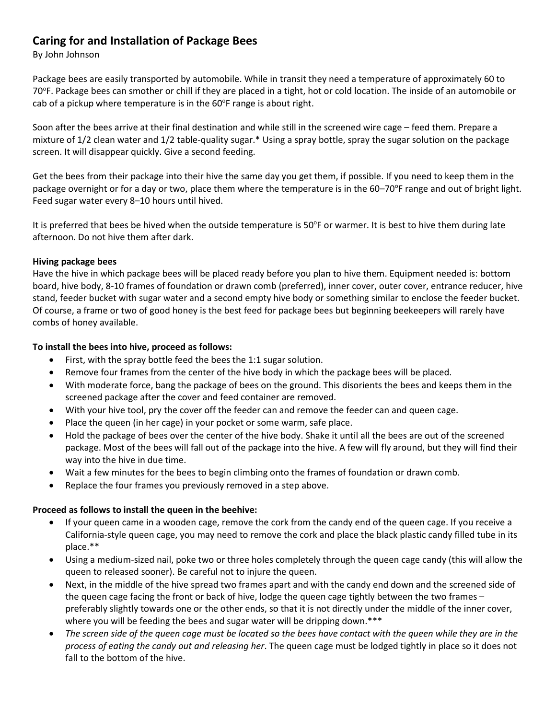# **Caring for and Installation of Package Bees**

By John Johnson

Package bees are easily transported by automobile. While in transit they need a temperature of approximately 60 to 70°F. Package bees can smother or chill if they are placed in a tight, hot or cold location. The inside of an automobile or cab of a pickup where temperature is in the 60°F range is about right.

Soon after the bees arrive at their final destination and while still in the screened wire cage – feed them. Prepare a mixture of 1/2 clean water and 1/2 table-quality sugar.\* Using a spray bottle, spray the sugar solution on the package screen. It will disappear quickly. Give a second feeding.

Get the bees from their package into their hive the same day you get them, if possible. If you need to keep them in the package overnight or for a day or two, place them where the temperature is in the 60-70°F range and out of bright light. Feed sugar water every 8–10 hours until hived.

It is preferred that bees be hived when the outside temperature is 50°F or warmer. It is best to hive them during late afternoon. Do not hive them after dark.

# **Hiving package bees**

Have the hive in which package bees will be placed ready before you plan to hive them. Equipment needed is: bottom board, hive body, 8-10 frames of foundation or drawn comb (preferred), inner cover, outer cover, entrance reducer, hive stand, feeder bucket with sugar water and a second empty hive body or something similar to enclose the feeder bucket. Of course, a frame or two of good honey is the best feed for package bees but beginning beekeepers will rarely have combs of honey available.

# **To install the bees into hive, proceed as follows:**

- First, with the spray bottle feed the bees the 1:1 sugar solution.
- Remove four frames from the center of the hive body in which the package bees will be placed.
- With moderate force, bang the package of bees on the ground. This disorients the bees and keeps them in the screened package after the cover and feed container are removed.
- With your hive tool, pry the cover off the feeder can and remove the feeder can and queen cage.
- Place the queen (in her cage) in your pocket or some warm, safe place.
- Hold the package of bees over the center of the hive body. Shake it until all the bees are out of the screened package. Most of the bees will fall out of the package into the hive. A few will fly around, but they will find their way into the hive in due time.
- Wait a few minutes for the bees to begin climbing onto the frames of foundation or drawn comb.
- Replace the four frames you previously removed in a step above.

#### **Proceed as follows to install the queen in the beehive:**

- If your queen came in a wooden cage, remove the cork from the candy end of the queen cage. If you receive a California-style queen cage, you may need to remove the cork and place the black plastic candy filled tube in its place.\*\*
- Using a medium-sized nail, poke two or three holes completely through the queen cage candy (this will allow the queen to released sooner). Be careful not to injure the queen.
- Next, in the middle of the hive spread two frames apart and with the candy end down and the screened side of the queen cage facing the front or back of hive, lodge the queen cage tightly between the two frames – preferably slightly towards one or the other ends, so that it is not directly under the middle of the inner cover, where you will be feeding the bees and sugar water will be dripping down.\*\*\*
- *The screen side of the queen cage must be located so the bees have contact with the queen while they are in the process of eating the candy out and releasing her*. The queen cage must be lodged tightly in place so it does not fall to the bottom of the hive.